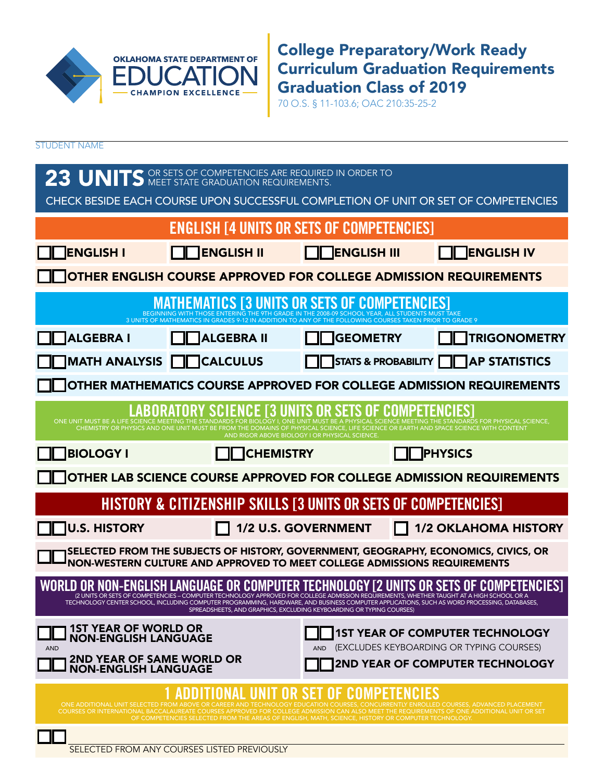

College Preparatory/Work Ready Curriculum Graduation Requirements Graduation Class of 2019

70 O.S. § 11-103.6; OAC 210:35-25-2

STUDENT NAME

| 23 UNITS OR SETS OF COMPETENCIES ARE REQUIRED IN ORDER TO<br>CHECK BESIDE EACH COURSE UPON SUCCESSFUL COMPLETION OF UNIT OR SET OF COMPETENCIES                                                                                                                                                                                                                                                                                               |                                                                                                                                                                                                          |                                                                      |                                                                                                                                                                                                                                  |  |  |
|-----------------------------------------------------------------------------------------------------------------------------------------------------------------------------------------------------------------------------------------------------------------------------------------------------------------------------------------------------------------------------------------------------------------------------------------------|----------------------------------------------------------------------------------------------------------------------------------------------------------------------------------------------------------|----------------------------------------------------------------------|----------------------------------------------------------------------------------------------------------------------------------------------------------------------------------------------------------------------------------|--|--|
|                                                                                                                                                                                                                                                                                                                                                                                                                                               | <b>ENGLISH [4 UNITS OR SETS OF COMPETENCIES]</b>                                                                                                                                                         |                                                                      |                                                                                                                                                                                                                                  |  |  |
| ENGLISH I                                                                                                                                                                                                                                                                                                                                                                                                                                     | <b>NO ENGLISH II</b>                                                                                                                                                                                     | <b>ENGLISH III</b>                                                   | <b>NENGLISH IV</b>                                                                                                                                                                                                               |  |  |
| OTHER ENGLISH COURSE APPROVED FOR COLLEGE ADMISSION REQUIREMENTS                                                                                                                                                                                                                                                                                                                                                                              |                                                                                                                                                                                                          |                                                                      |                                                                                                                                                                                                                                  |  |  |
|                                                                                                                                                                                                                                                                                                                                                                                                                                               | BEGINNING WITH THOSE ENTERING THE 9TH GRADE IN THE 2008-09 SCHOOL YEAR, ALL STUDENTS MUST TA<br>3 UNITS OF MATHEMATICS IN GRADES 9-12 IN ADDITION TO ANY OF THE FOLLOWING COURSES TAKEN PRIOR TO GRADE 9 |                                                                      |                                                                                                                                                                                                                                  |  |  |
| ALGEBRA I                                                                                                                                                                                                                                                                                                                                                                                                                                     | <b>ALGEBRA II</b>                                                                                                                                                                                        | <b>GEOMETRY</b>                                                      | TRIGONOMETRY                                                                                                                                                                                                                     |  |  |
|                                                                                                                                                                                                                                                                                                                                                                                                                                               | MATH ANALYSIS <b>QO</b> CALCULUS                                                                                                                                                                         |                                                                      | STATS & PROBABILITY         AP STATISTICS                                                                                                                                                                                        |  |  |
| OTHER MATHEMATICS COURSE APPROVED FOR COLLEGE ADMISSION REQUIREMENTS                                                                                                                                                                                                                                                                                                                                                                          |                                                                                                                                                                                                          |                                                                      |                                                                                                                                                                                                                                  |  |  |
| ONE UNIT MUST BE A LIFE SCIENCE MEETING THE                                                                                                                                                                                                                                                                                                                                                                                                   | <b>LABORATORY SCIENCE [3 UNITS OR SETS OF COMPETENCIES]</b><br>CHEMISTRY OR PHYSICS AND ONE UNIT MUST BE FROM THE DOMAINS OF PHYSICAL SCIENCE, LIFE SCIENCE OR EARTH AND SPACE SCIENCE WITH CONTENT      | AND RIGOR ABOVE BIOLOGY I OR PHYSICAL SCIENCE                        | <b>HYSICAL SCIENCE MEETING THE STANDARDS FOR PHYSICAL SCIENCE,</b>                                                                                                                                                               |  |  |
| <b>BIOLOGY I</b>                                                                                                                                                                                                                                                                                                                                                                                                                              | <b>TCHEMISTRY</b>                                                                                                                                                                                        |                                                                      | <b>PHYSICS</b>                                                                                                                                                                                                                   |  |  |
| OTHER LAB SCIENCE COURSE APPROVED FOR COLLEGE ADMISSION REQUIREMENTS                                                                                                                                                                                                                                                                                                                                                                          |                                                                                                                                                                                                          |                                                                      |                                                                                                                                                                                                                                  |  |  |
| HISTORY & CITIZENSHIP SKILLS [3 UNITS OR SETS OF COMPETENCIES]                                                                                                                                                                                                                                                                                                                                                                                |                                                                                                                                                                                                          |                                                                      |                                                                                                                                                                                                                                  |  |  |
| U.S. HISTORY                                                                                                                                                                                                                                                                                                                                                                                                                                  |                                                                                                                                                                                                          |                                                                      | 1/2 U.S. GOVERNMENT 1/2 OKLAHOMA HISTORY                                                                                                                                                                                         |  |  |
| SELECTED FROM THE SUBJECTS OF HISTORY, GOVERNMENT, GEOGRAPHY, ECONOMICS, CIVICS, OR<br>NON-WESTERN CULTURE AND APPROVED TO MEET COLLEGE ADMISSIONS REQUIREMENTS                                                                                                                                                                                                                                                                               |                                                                                                                                                                                                          |                                                                      |                                                                                                                                                                                                                                  |  |  |
|                                                                                                                                                                                                                                                                                                                                                                                                                                               | TECHNOLOGY CENTER SCHOOL, INCLUDING COMPUTER PROGRAMMING, HARDWARE, AND BUSINESS COMPUTER APPLICATIONS, SUCH AS WORD PROCESSING, DATABASES,                                                              | SPREADSHEETS, AND GRAPHICS, EXCLUDING KEYBOARDING OR TYPING COURSES) | WORLD OR NON-ENGLISH LANGUAGE OR COMPUTER TECHNOLOGY [2 UNITS OR SETS OF COMPETENCIES]<br>CUNITS OR SETS OF COMPETENCIES – COMPUTER TECHNOLOGY APPROVED FOR COLLEGE ADMISSION REQUIREMENTS, WHETHER TAUGHT AT A HIGH SCHOOL OR A |  |  |
| <b>1ST YEAR OF WORLD OR</b><br><b>NON-ENGLISH LANGUAGE</b>                                                                                                                                                                                                                                                                                                                                                                                    |                                                                                                                                                                                                          |                                                                      | <b>1ST YEAR OF COMPUTER TECHNOLOGY</b>                                                                                                                                                                                           |  |  |
| (EXCLUDES KEYBOARDING OR TYPING COURSES)<br><b>AND</b><br><b>AND</b><br>2ND YEAR OF SAME WORLD OR<br>NON-ENGLISH LANGUAGE<br>2ND YEAR OF COMPUTER TECHNOLOGY                                                                                                                                                                                                                                                                                  |                                                                                                                                                                                                          |                                                                      |                                                                                                                                                                                                                                  |  |  |
| <b>ADDITIONAL UNIT OR SET OF COMPETENCIES</b><br>ONE ADDITIONAL UNIT SELECTED FROM ABOVE OR CAREER AND TECHNOLOGY EDUCATION COURSES, CONCL<br>RENTLY ENROLLED COURSES, ADVANCED PLACEMENT<br>COURSES OR INTERNATIONAL BACCALAUREATE COURSES APPROVED FOR COLLEGE ADMISSION CAN ALSO MEET THE REQUIREMENTS OF ONE ADDITIONAL UNIT OR SET<br>OF COMPETENCIES SELECTED FROM THE AREAS OF ENGLISH, MATH, SCIENCE, HISTORY OR COMPUTER TECHNOLOGY. |                                                                                                                                                                                                          |                                                                      |                                                                                                                                                                                                                                  |  |  |
|                                                                                                                                                                                                                                                                                                                                                                                                                                               | SELECTED FROM ANY COURSES LISTED PREVIOUSLY                                                                                                                                                              |                                                                      |                                                                                                                                                                                                                                  |  |  |